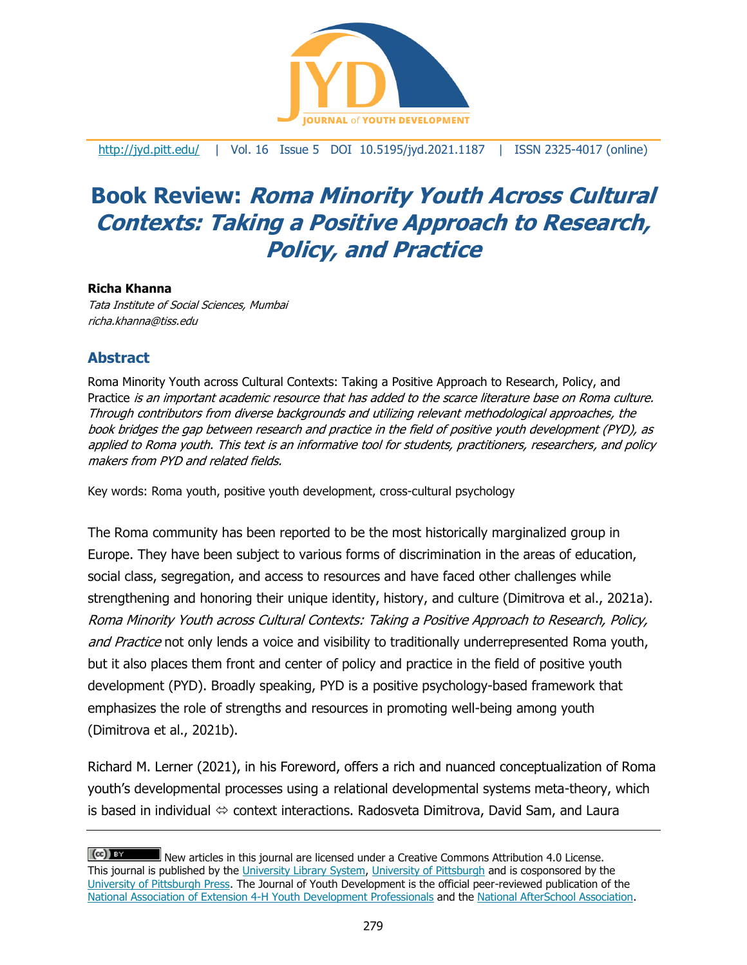

<http://jyd.pitt.edu/> | Vol. 16 Issue 5 DOI 10.5195/jyd.2021.1187 | ISSN 2325-4017 (online)

# **Book Review: Roma Minority Youth Across Cultural Contexts: Taking a Positive Approach to Research, Policy, and Practice**

#### **Richa Khanna**

Tata Institute of Social Sciences, Mumbai richa.khanna@tiss.edu

## **Abstract**

Roma Minority Youth across Cultural Contexts: Taking a Positive Approach to Research, Policy, and Practice is an important academic resource that has added to the scarce literature base on Roma culture. Through contributors from diverse backgrounds and utilizing relevant methodological approaches, the book bridges the gap between research and practice in the field of positive youth development (PYD), as applied to Roma youth. This text is an informative tool for students, practitioners, researchers, and policy makers from PYD and related fields.

Key words: Roma youth, positive youth development, cross-cultural psychology

The Roma community has been reported to be the most historically marginalized group in Europe. They have been subject to various forms of discrimination in the areas of education, social class, segregation, and access to resources and have faced other challenges while strengthening and honoring their unique identity, history, and culture (Dimitrova et al., 2021a). Roma Minority Youth across Cultural Contexts: Taking a Positive Approach to Research, Policy, and Practice not only lends a voice and visibility to traditionally underrepresented Roma youth, but it also places them front and center of policy and practice in the field of positive youth development (PYD). Broadly speaking, PYD is a positive psychology-based framework that emphasizes the role of strengths and resources in promoting well-being among youth (Dimitrova et al., 2021b).

Richard M. Lerner (2021), in his Foreword, offers a rich and nuanced conceptualization of Roma youth's developmental processes using a relational developmental systems meta-theory, which is based in individual  $\Leftrightarrow$  context interactions. Radosveta Dimitrova, David Sam, and Laura

 $(cc)$  BY New articles in this journal are licensed under a Creative Commons Attribution 4.0 License. This journal is published by the [University Library System,](http://www.library.pitt.edu/) [University of Pittsburgh](http://www.pitt.edu/) and is cosponsored by the [University of Pittsburgh Press.](http://www.upress.pitt.edu/upressIndex.aspx) The Journal of Youth Development is the official peer-reviewed publication of the [National Association of Extension 4-H Youth Development Professionals](http://www.nae4ha.com/) and the [National AfterSchool Association.](http://naaweb.org/)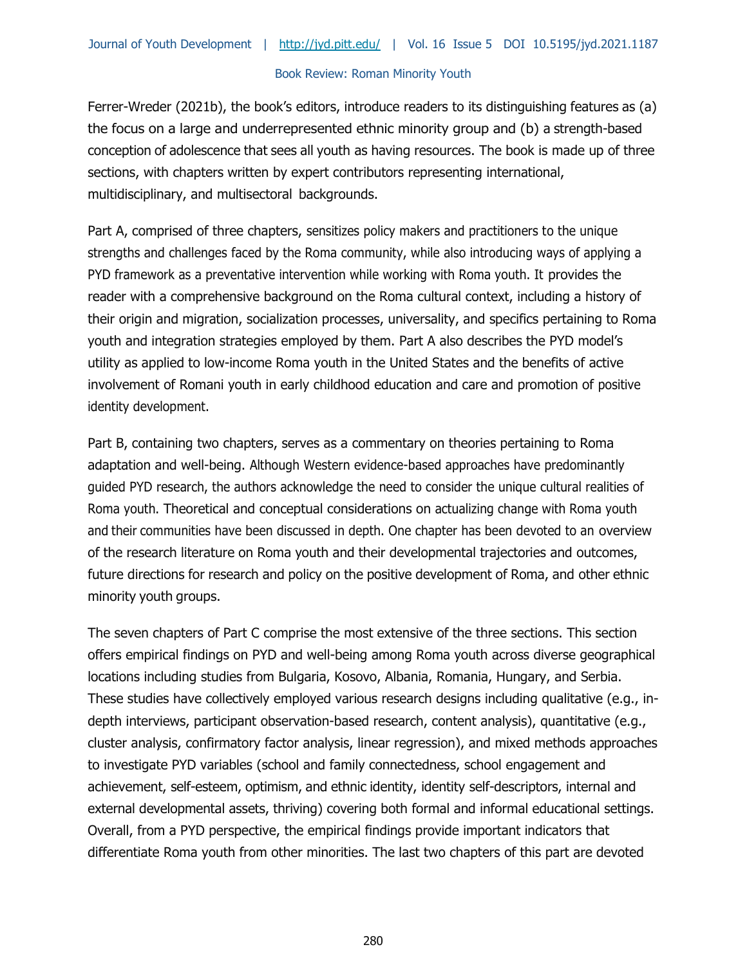#### Book Review: Roman Minority Youth

Ferrer-Wreder (2021b), the book's editors, introduce readers to its distinguishing features as (a) the focus on a large and underrepresented ethnic minority group and (b) a strength-based conception of adolescence that sees all youth as having resources. The book is made up of three sections, with chapters written by expert contributors representing international, multidisciplinary, and multisectoral backgrounds.

Part A, comprised of three chapters, sensitizes policy makers and practitioners to the unique strengths and challenges faced by the Roma community, while also introducing ways of applying a PYD framework as a preventative intervention while working with Roma youth. It provides the reader with a comprehensive background on the Roma cultural context, including a history of their origin and migration, socialization processes, universality, and specifics pertaining to Roma youth and integration strategies employed by them. Part A also describes the PYD model's utility as applied to low-income Roma youth in the United States and the benefits of active involvement of Romani youth in early childhood education and care and promotion of positive identity development.

Part B, containing two chapters, serves as a commentary on theories pertaining to Roma adaptation and well-being. Although Western evidence-based approaches have predominantly guided PYD research, the authors acknowledge the need to consider the unique cultural realities of Roma youth. Theoretical and conceptual considerations on actualizing change with Roma youth and their communities have been discussed in depth. One chapter has been devoted to an overview of the research literature on Roma youth and their developmental trajectories and outcomes, future directions for research and policy on the positive development of Roma, and other ethnic minority youth groups.

The seven chapters of Part C comprise the most extensive of the three sections. This section offers empirical findings on PYD and well-being among Roma youth across diverse geographical locations including studies from Bulgaria, Kosovo, Albania, Romania, Hungary, and Serbia. These studies have collectively employed various research designs including qualitative (e.g., indepth interviews, participant observation-based research, content analysis), quantitative (e.g., cluster analysis, confirmatory factor analysis, linear regression), and mixed methods approaches to investigate PYD variables (school and family connectedness, school engagement and achievement, self-esteem, optimism, and ethnic identity, identity self-descriptors, internal and external developmental assets, thriving) covering both formal and informal educational settings. Overall, from a PYD perspective, the empirical findings provide important indicators that differentiate Roma youth from other minorities. The last two chapters of this part are devoted